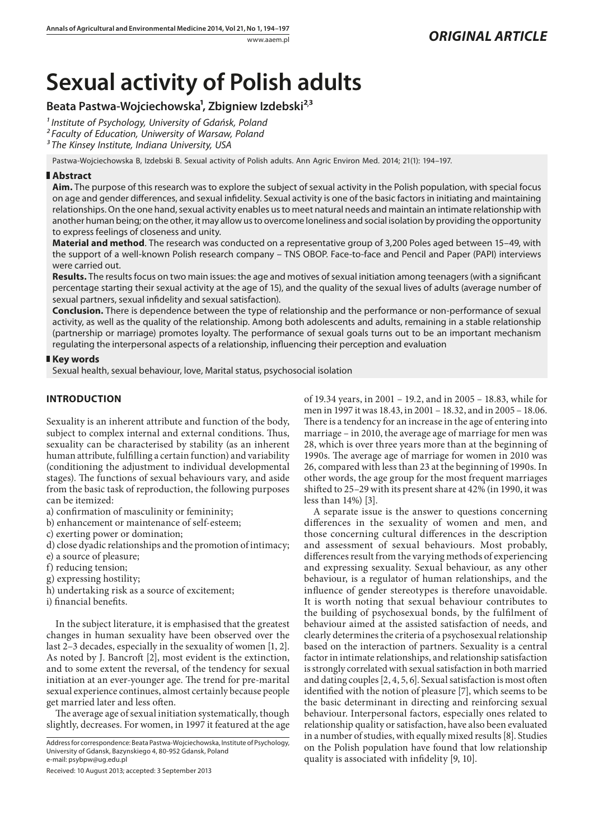# **Sexual activity of Polish adults**

# **Beata Pastwa-Wojciechowska¹, Zbigniew Izdebski², ³**

*¹ Institute of Psychology, University of Gdańsk, Poland ² Faculty of Education, Uniwersity of Warsaw, Poland ³ The Kinsey Institute, Indiana University, USA*

Pastwa-Wojciechowska B, Izdebski B. Sexual activity of Polish adults. Ann Agric Environ Med. 2014; 21(1): 194–197.

# **Abstract**

**Aim.** The purpose of this research was to explore the subject of sexual activity in the Polish population, with special focus on age and gender differences, and sexual infidelity. Sexual activity is one of the basic factors in initiating and maintaining relationships. On the one hand, sexual activity enables us to meet natural needs and maintain an intimate relationship with another human being; on the other, it may allow us to overcome loneliness and social isolation by providing the opportunity to express feelings of closeness and unity.

**Material and method**. The research was conducted on a representative group of 3,200 Poles aged between 15–49, with the support of a well-known Polish research company – TNS OBOP. Face-to-face and Pencil and Paper (PAPI) interviews were carried out.

**Results.** The results focus on two main issues: the age and motives of sexual initiation among teenagers (with a significant percentage starting their sexual activity at the age of 15), and the quality of the sexual lives of adults (average number of sexual partners, sexual infidelity and sexual satisfaction).

**Conclusion.** There is dependence between the type of relationship and the performance or non-performance of sexual activity, as well as the quality of the relationship. Among both adolescents and adults, remaining in a stable relationship (partnership or marriage) promotes loyalty. The performance of sexual goals turns out to be an important mechanism regulating the interpersonal aspects of a relationship, influencing their perception and evaluation

# **Key words**

Sexual health, sexual behaviour, love, Marital status, psychosocial isolation

# **INTRODUCTION**

Sexuality is an inherent attribute and function of the body, subject to complex internal and external conditions. Thus, sexuality can be characterised by stability (as an inherent human attribute, fulfilling a certain function) and variability (conditioning the adjustment to individual developmental stages). The functions of sexual behaviours vary, and aside from the basic task of reproduction, the following purposes can be itemized:

- a) confirmation of masculinity or femininity;
- b) enhancement or maintenance of self-esteem;
- c) exerting power or domination;
- d) close dyadic relationships and the promotion of intimacy;
- e) a source of pleasure;
- f) reducing tension;
- g) expressing hostility;
- h) undertaking risk as a source of excitement;
- i) financial benefits.

In the subject literature, it is emphasised that the greatest changes in human sexuality have been observed over the last 2–3 decades, especially in the sexuality of women [1, 2]. As noted by J. Bancroft [2], most evident is the extinction, and to some extent the reversal, of the tendency for sexual initiation at an ever-younger age. The trend for pre-marital sexual experience continues, almost certainly because people get married later and less often.

The average age of sexual initiation systematically, though slightly, decreases. For women, in 1997 it featured at the age of 19.34 years, in 2001 – 19.2, and in 2005 – 18.83, while for men in 1997 it was 18.43, in 2001 – 18.32, and in 2005 – 18.06. There is a tendency for an increase in the age of entering into marriage – in 2010, the average age of marriage for men was 28, which is over three years more than at the beginning of 1990s. The average age of marriage for women in 2010 was 26, compared with less than 23 at the beginning of 1990s. In other words, the age group for the most frequent marriages shifted to 25–29 with its present share at 42% (in 1990, it was less than 14%) [3].

A separate issue is the answer to questions concerning differences in the sexuality of women and men, and those concerning cultural differences in the description and assessment of sexual behaviours. Most probably, differences result from the varying methods of experiencing and expressing sexuality. Sexual behaviour, as any other behaviour, is a regulator of human relationships, and the influence of gender stereotypes is therefore unavoidable. It is worth noting that sexual behaviour contributes to the building of psychosexual bonds, by the fulfilment of behaviour aimed at the assisted satisfaction of needs, and clearly determines the criteria of a psychosexual relationship based on the interaction of partners. Sexuality is a central factor in intimate relationships, and relationship satisfaction is strongly correlated with sexual satisfaction in both married and dating couples [2, 4, 5, 6]. Sexual satisfaction is most often identified with the notion of pleasure [7], which seems to be the basic determinant in directing and reinforcing sexual behaviour. Interpersonal factors, especially ones related to relationship quality or satisfaction, have also been evaluated in a number of studies, with equally mixed results [8]. Studies on the Polish population have found that low relationship quality is associated with infidelity [9, 10].

Address for correspondence: Beata Pastwa-Wojciechowska, Institute of Psychology, University of Gdansk, Bazynskiego 4, 80-952 Gdansk, Poland e-mail: psybpw@ug.edu.pl

Received: 10 August 2013; accepted: 3 September 2013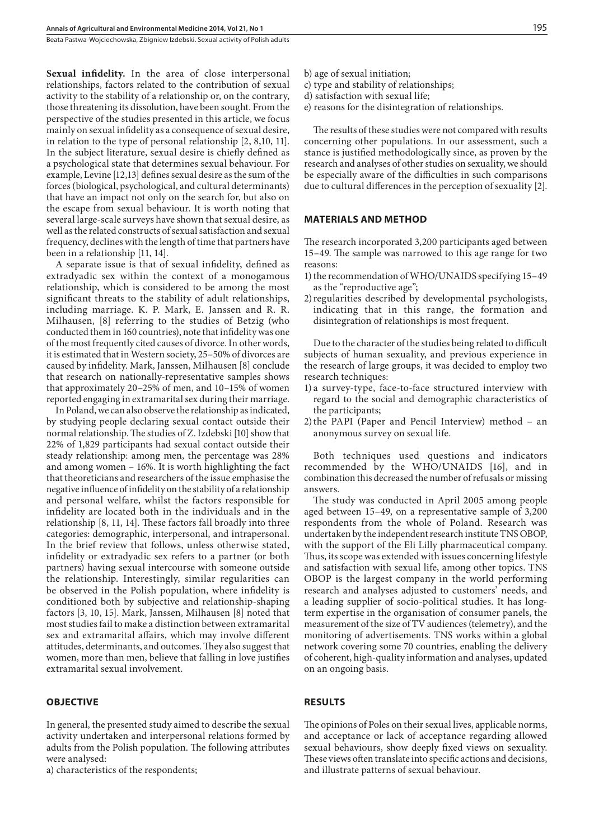Beata Pastwa-Wojciechowska, Zbigniew Izdebski . Sexual activity of Polish adults

**Sexual infidelity.** In the area of close interpersonal relationships, factors related to the contribution of sexual activity to the stability of a relationship or, on the contrary, those threatening its dissolution, have been sought. From the perspective of the studies presented in this article, we focus mainly on sexual infidelity as a consequence of sexual desire, in relation to the type of personal relationship [2, 8,10, 11]. In the subject literature, sexual desire is chiefly defined as a psychological state that determines sexual behaviour. For example, Levine [12,13] defines sexual desire as the sum of the forces (biological, psychological, and cultural determinants) that have an impact not only on the search for, but also on the escape from sexual behaviour. It is worth noting that several large-scale surveys have shown that sexual desire, as well as the related constructs of sexual satisfaction and sexual frequency, declines with the length of time that partners have been in a relationship [11, 14].

A separate issue is that of sexual infidelity, defined as extradyadic sex within the context of a monogamous relationship, which is considered to be among the most significant threats to the stability of adult relationships, including marriage. K. P. Mark, E. Janssen and R. R. Milhausen, [8] referring to the studies of Betzig (who conducted them in 160 countries), note that infidelity was one of the most frequently cited causes of divorce. In other words, it is estimated that in Western society, 25–50% of divorces are caused by infidelity. Mark, Janssen, Milhausen [8] conclude that research on nationally-representative samples shows that approximately 20–25% of men, and 10–15% of women reported engaging in extramarital sex during their marriage.

In Poland, we can also observe the relationship as indicated, by studying people declaring sexual contact outside their normal relationship. The studies of Z. Izdebski [10] show that 22% of 1,829 participants had sexual contact outside their steady relationship: among men, the percentage was 28% and among women – 16%. It is worth highlighting the fact that theoreticians and researchers of the issue emphasise the negative influence of infidelity on the stability of a relationship and personal welfare, whilst the factors responsible for infidelity are located both in the individuals and in the relationship [8, 11, 14]. These factors fall broadly into three categories: demographic, interpersonal, and intrapersonal. In the brief review that follows, unless otherwise stated, infidelity or extradyadic sex refers to a partner (or both partners) having sexual intercourse with someone outside the relationship. Interestingly, similar regularities can be observed in the Polish population, where infidelity is conditioned both by subjective and relationship-shaping factors [3, 10, 15]. Mark, Janssen, Milhausen [8] noted that most studies fail to make a distinction between extramarital sex and extramarital affairs, which may involve different attitudes, determinants, and outcomes. They also suggest that women, more than men, believe that falling in love justifies extramarital sexual involvement.

# **OBJECTIVE**

In general, the presented study aimed to describe the sexual activity undertaken and interpersonal relations formed by adults from the Polish population. The following attributes were analysed:

a) characteristics of the respondents;

- b) age of sexual initiation;
- c) type and stability of relationships;
- d) satisfaction with sexual life;
- e) reasons for the disintegration of relationships.

The results of these studies were not compared with results concerning other populations. In our assessment, such a stance is justified methodologically since, as proven by the research and analyses of other studies on sexuality, we should be especially aware of the difficulties in such comparisons due to cultural differences in the perception of sexuality [2].

#### **MATERIALS AND METHOD**

The research incorporated 3,200 participants aged between 15–49. The sample was narrowed to this age range for two reasons:

- 1) the recommendation of WHO/UNAIDS specifying 15-49 as the "reproductive age";
- 2)regularities described by developmental psychologists, indicating that in this range, the formation and disintegration of relationships is most frequent.

Due to the character of the studies being related to difficult subjects of human sexuality, and previous experience in the research of large groups, it was decided to employ two research techniques:

- 1) a survey-type, face-to-face structured interview with regard to the social and demographic characteristics of the participants;
- 2)the PAPI (Paper and Pencil Interview) method an anonymous survey on sexual life.

Both techniques used questions and indicators recommended by the WHO/UNAIDS [16], and in combination this decreased the number of refusals or missing answers.

The study was conducted in April 2005 among people aged between 15–49, on a representative sample of 3,200 respondents from the whole of Poland. Research was undertaken by the independent research institute TNS OBOP, with the support of the Eli Lilly pharmaceutical company. Thus, its scope was extended with issues concerning lifestyle and satisfaction with sexual life, among other topics. TNS OBOP is the largest company in the world performing research and analyses adjusted to customers' needs, and a leading supplier of socio-political studies. It has longterm expertise in the organisation of consumer panels, the measurement of the size of TV audiences (telemetry), and the monitoring of advertisements. TNS works within a global network covering some 70 countries, enabling the delivery of coherent, high-quality information and analyses, updated on an ongoing basis.

# **RESULTS**

The opinions of Poles on their sexual lives, applicable norms, and acceptance or lack of acceptance regarding allowed sexual behaviours, show deeply fixed views on sexuality. These views often translate into specific actions and decisions, and illustrate patterns of sexual behaviour.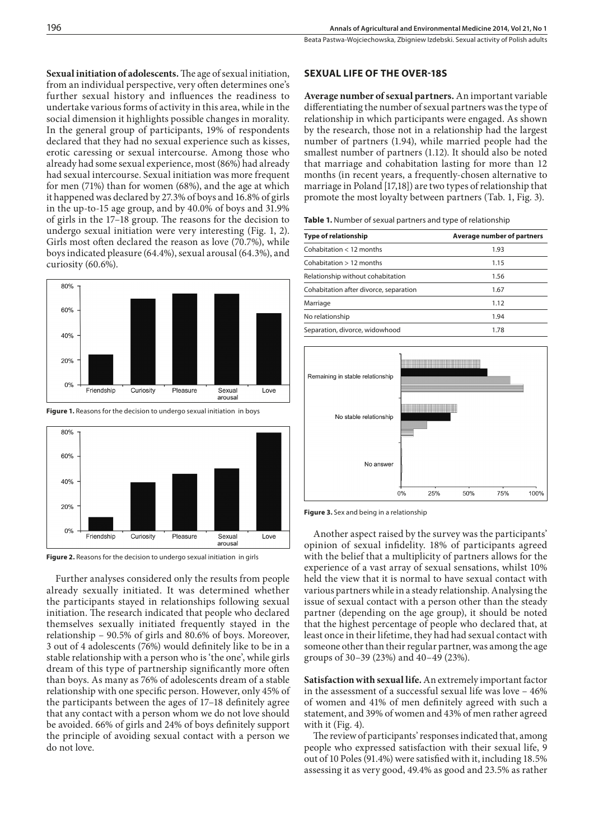**Sexual initiation of adolescents.**The age of sexual initiation, from an individual perspective, very often determines one's further sexual history and influences the readiness to undertake various forms of activity in this area, while in the social dimension it highlights possible changes in morality. In the general group of participants, 19% of respondents declared that they had no sexual experience such as kisses, erotic caressing or sexual intercourse. Among those who already had some sexual experience, most (86%) had already had sexual intercourse. Sexual initiation was more frequent for men (71%) than for women (68%), and the age at which it happened was declared by 27.3% of boys and 16.8% of girls in the up-to-15 age group, and by 40.0% of boys and 31.9% of girls in the 17–18 group. The reasons for the decision to undergo sexual initiation were very interesting (Fig. 1, 2). Girls most often declared the reason as love (70.7%), while boys indicated pleasure (64.4%), sexual arousal (64.3%), and curiosity (60.6%).







Figure 2. Reasons for the decision to undergo sexual initiation in girls

Further analyses considered only the results from people already sexually initiated. It was determined whether the participants stayed in relationships following sexual initiation. The research indicated that people who declared themselves sexually initiated frequently stayed in the relationship – 90.5% of girls and 80.6% of boys. Moreover, 3 out of 4 adolescents (76%) would definitely like to be in a stable relationship with a person who is 'the one', while girls dream of this type of partnership significantly more often than boys. As many as 76% of adolescents dream of a stable relationship with one specific person. However, only 45% of the participants between the ages of 17–18 definitely agree that any contact with a person whom we do not love should be avoided. 66% of girls and 24% of boys definitely support the principle of avoiding sexual contact with a person we do not love.

# **SEXUAL LIFE OF THE OVER-18s**

**Average number of sexual partners.**An important variable differentiating the number of sexual partners was the type of relationship in which participants were engaged. As shown by the research, those not in a relationship had the largest number of partners (1.94), while married people had the smallest number of partners (1.12). It should also be noted that marriage and cohabitation lasting for more than 12 months (in recent years, a frequently-chosen alternative to marriage in Poland [17,18]) are two types of relationship that promote the most loyalty between partners (Tab. 1, Fig. 3).

**Table 1.** Number of sexual partners and type of relationship

| <b>Type of relationship</b>            | <b>Average number of partners</b> |
|----------------------------------------|-----------------------------------|
| Cohabitation $<$ 12 months             | 1.93                              |
| Cohabitation $> 12$ months             | 1.15                              |
| Relationship without cohabitation      | 1.56                              |
| Cohabitation after divorce, separation | 1.67                              |
| Marriage                               | 1.12                              |
| No relationship                        | 1.94                              |
| Separation, divorce, widowhood         | 1.78                              |



**Figure 3.** Sex and being in a relationship

Another aspect raised by the survey was the participants' opinion of sexual infidelity. 18% of participants agreed with the belief that a multiplicity of partners allows for the experience of a vast array of sexual sensations, whilst 10% held the view that it is normal to have sexual contact with various partners while in a steady relationship. Analysing the issue of sexual contact with a person other than the steady partner (depending on the age group), it should be noted that the highest percentage of people who declared that, at least once in their lifetime, they had had sexual contact with someone other than their regular partner, was among the age groups of 30–39 (23%) and 40–49 (23%).

**Satisfaction with sexual life.** An extremely important factor in the assessment of a successful sexual life was love – 46% of women and 41% of men definitely agreed with such a statement, and 39% of women and 43% of men rather agreed with it (Fig. 4).

The review of participants' responses indicated that, among people who expressed satisfaction with their sexual life, 9 out of 10 Poles (91.4%) were satisfied with it, including 18.5% assessing it as very good, 49.4% as good and 23.5% as rather